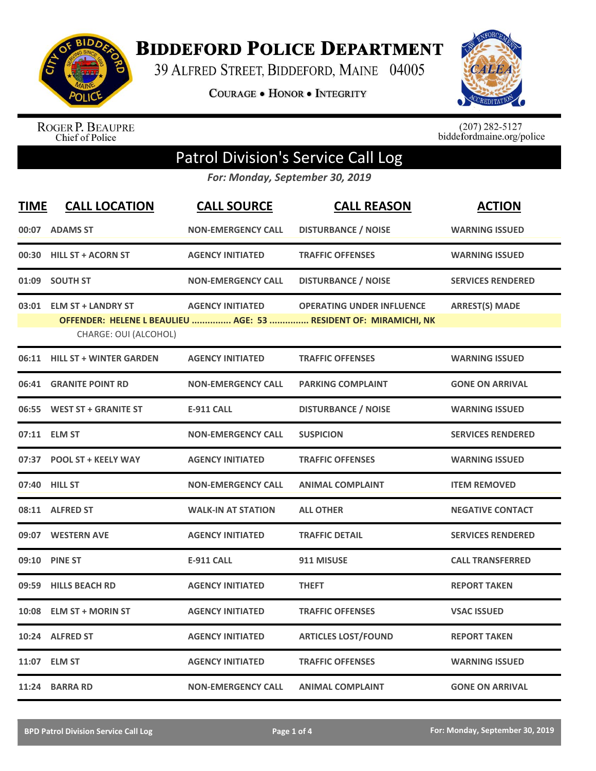

**BIDDEFORD POLICE DEPARTMENT** 

39 ALFRED STREET, BIDDEFORD, MAINE 04005

**COURAGE . HONOR . INTEGRITY** 



ROGER P. BEAUPRE<br>Chief of Police

 $(207)$  282-5127<br>biddefordmaine.org/police

## Patrol Division's Service Call Log

*For: Monday, September 30, 2019*

| <b>TIME</b> | <b>CALL LOCATION</b>                              | <b>CALL SOURCE</b>        | <b>CALL REASON</b>                                                                                   | <b>ACTION</b>            |
|-------------|---------------------------------------------------|---------------------------|------------------------------------------------------------------------------------------------------|--------------------------|
|             | 00:07 ADAMS ST                                    | <b>NON-EMERGENCY CALL</b> | <b>DISTURBANCE / NOISE</b>                                                                           | <b>WARNING ISSUED</b>    |
|             | 00:30 HILL ST + ACORN ST                          | <b>AGENCY INITIATED</b>   | <b>TRAFFIC OFFENSES</b>                                                                              | <b>WARNING ISSUED</b>    |
|             | 01:09 SOUTH ST                                    | <b>NON-EMERGENCY CALL</b> | <b>DISTURBANCE / NOISE</b>                                                                           | <b>SERVICES RENDERED</b> |
|             | 03:01 ELM ST + LANDRY ST<br>CHARGE: OUI (ALCOHOL) | <b>AGENCY INITIATED</b>   | <b>OPERATING UNDER INFLUENCE</b><br>OFFENDER: HELENE L BEAULIEU  AGE: 53  RESIDENT OF: MIRAMICHI, NK | <b>ARREST(S) MADE</b>    |
|             | 06:11 HILL ST + WINTER GARDEN                     | <b>AGENCY INITIATED</b>   | <b>TRAFFIC OFFENSES</b>                                                                              | <b>WARNING ISSUED</b>    |
|             | 06:41 GRANITE POINT RD                            | <b>NON-EMERGENCY CALL</b> | <b>PARKING COMPLAINT</b>                                                                             | <b>GONE ON ARRIVAL</b>   |
|             | 06:55 WEST ST + GRANITE ST                        | <b>E-911 CALL</b>         | <b>DISTURBANCE / NOISE</b>                                                                           | <b>WARNING ISSUED</b>    |
|             | 07:11 ELM ST                                      | <b>NON-EMERGENCY CALL</b> | <b>SUSPICION</b>                                                                                     | <b>SERVICES RENDERED</b> |
|             | 07:37 POOL ST + KEELY WAY                         | <b>AGENCY INITIATED</b>   | <b>TRAFFIC OFFENSES</b>                                                                              | <b>WARNING ISSUED</b>    |
|             | 07:40 HILL ST                                     | <b>NON-EMERGENCY CALL</b> | <b>ANIMAL COMPLAINT</b>                                                                              | <b>ITEM REMOVED</b>      |
|             | 08:11 ALFRED ST                                   | <b>WALK-IN AT STATION</b> | <b>ALL OTHER</b>                                                                                     | <b>NEGATIVE CONTACT</b>  |
|             | 09:07 WESTERN AVE                                 | <b>AGENCY INITIATED</b>   | <b>TRAFFIC DETAIL</b>                                                                                | <b>SERVICES RENDERED</b> |
|             | 09:10 PINE ST                                     | <b>E-911 CALL</b>         | 911 MISUSE                                                                                           | <b>CALL TRANSFERRED</b>  |
|             | 09:59 HILLS BEACH RD                              | <b>AGENCY INITIATED</b>   | <b>THEFT</b>                                                                                         | <b>REPORT TAKEN</b>      |
|             | 10:08 ELM ST + MORIN ST                           | <b>AGENCY INITIATED</b>   | <b>TRAFFIC OFFENSES</b>                                                                              | <b>VSAC ISSUED</b>       |
|             | 10:24 ALFRED ST                                   | <b>AGENCY INITIATED</b>   | <b>ARTICLES LOST/FOUND</b>                                                                           | <b>REPORT TAKEN</b>      |
|             | 11:07 ELM ST                                      | <b>AGENCY INITIATED</b>   | <b>TRAFFIC OFFENSES</b>                                                                              | <b>WARNING ISSUED</b>    |
|             | 11:24 BARRA RD                                    | <b>NON-EMERGENCY CALL</b> | <b>ANIMAL COMPLAINT</b>                                                                              | <b>GONE ON ARRIVAL</b>   |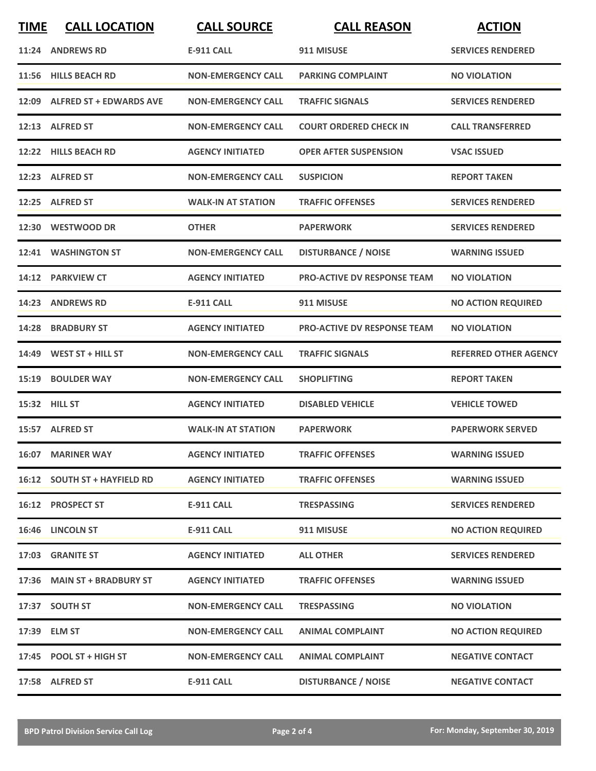| <b>TIME</b> | <b>CALL LOCATION</b>           | <b>CALL SOURCE</b>        | <b>CALL REASON</b>                 | <b>ACTION</b>                |
|-------------|--------------------------------|---------------------------|------------------------------------|------------------------------|
|             | 11:24 ANDREWS RD               | <b>E-911 CALL</b>         | 911 MISUSE                         | <b>SERVICES RENDERED</b>     |
|             | 11:56 HILLS BEACH RD           | <b>NON-EMERGENCY CALL</b> | <b>PARKING COMPLAINT</b>           | <b>NO VIOLATION</b>          |
| 12:09       | <b>ALFRED ST + EDWARDS AVE</b> | <b>NON-EMERGENCY CALL</b> | <b>TRAFFIC SIGNALS</b>             | <b>SERVICES RENDERED</b>     |
|             | 12:13 ALFRED ST                | <b>NON-EMERGENCY CALL</b> | <b>COURT ORDERED CHECK IN</b>      | <b>CALL TRANSFERRED</b>      |
|             | 12:22 HILLS BEACH RD           | <b>AGENCY INITIATED</b>   | <b>OPER AFTER SUSPENSION</b>       | <b>VSAC ISSUED</b>           |
|             | 12:23 ALFRED ST                | <b>NON-EMERGENCY CALL</b> | <b>SUSPICION</b>                   | <b>REPORT TAKEN</b>          |
|             | 12:25 ALFRED ST                | <b>WALK-IN AT STATION</b> | <b>TRAFFIC OFFENSES</b>            | <b>SERVICES RENDERED</b>     |
|             | 12:30 WESTWOOD DR              | <b>OTHER</b>              | <b>PAPERWORK</b>                   | <b>SERVICES RENDERED</b>     |
|             | 12:41 WASHINGTON ST            | <b>NON-EMERGENCY CALL</b> | <b>DISTURBANCE / NOISE</b>         | <b>WARNING ISSUED</b>        |
|             | 14:12 PARKVIEW CT              | <b>AGENCY INITIATED</b>   | <b>PRO-ACTIVE DV RESPONSE TEAM</b> | <b>NO VIOLATION</b>          |
|             | 14:23 ANDREWS RD               | E-911 CALL                | 911 MISUSE                         | <b>NO ACTION REQUIRED</b>    |
| 14:28       | <b>BRADBURY ST</b>             | <b>AGENCY INITIATED</b>   | <b>PRO-ACTIVE DV RESPONSE TEAM</b> | <b>NO VIOLATION</b>          |
| 14:49       | WEST ST + HILL ST              | <b>NON-EMERGENCY CALL</b> | <b>TRAFFIC SIGNALS</b>             | <b>REFERRED OTHER AGENCY</b> |
| 15:19       | <b>BOULDER WAY</b>             | <b>NON-EMERGENCY CALL</b> | <b>SHOPLIFTING</b>                 | <b>REPORT TAKEN</b>          |
|             | 15:32 HILL ST                  | <b>AGENCY INITIATED</b>   | <b>DISABLED VEHICLE</b>            | <b>VEHICLE TOWED</b>         |
|             | 15:57 ALFRED ST                | <b>WALK-IN AT STATION</b> | <b>PAPERWORK</b>                   | <b>PAPERWORK SERVED</b>      |
|             | 16:07 MARINER WAY              | <b>AGENCY INITIATED</b>   | <b>TRAFFIC OFFENSES</b>            | <b>WARNING ISSUED</b>        |
|             | 16:12 SOUTH ST + HAYFIELD RD   | <b>AGENCY INITIATED</b>   | <b>TRAFFIC OFFENSES</b>            | <b>WARNING ISSUED</b>        |
|             | 16:12 PROSPECT ST              | <b>E-911 CALL</b>         | <b>TRESPASSING</b>                 | <b>SERVICES RENDERED</b>     |
|             | 16:46 LINCOLN ST               | <b>E-911 CALL</b>         | 911 MISUSE                         | <b>NO ACTION REQUIRED</b>    |
|             | 17:03 GRANITE ST               | <b>AGENCY INITIATED</b>   | <b>ALL OTHER</b>                   | <b>SERVICES RENDERED</b>     |
|             | 17:36 MAIN ST + BRADBURY ST    | <b>AGENCY INITIATED</b>   | <b>TRAFFIC OFFENSES</b>            | <b>WARNING ISSUED</b>        |
|             | 17:37 SOUTH ST                 | <b>NON-EMERGENCY CALL</b> | <b>TRESPASSING</b>                 | <b>NO VIOLATION</b>          |
|             | 17:39 ELM ST                   | <b>NON-EMERGENCY CALL</b> | <b>ANIMAL COMPLAINT</b>            | <b>NO ACTION REQUIRED</b>    |
|             | 17:45 POOL ST + HIGH ST        | <b>NON-EMERGENCY CALL</b> | <b>ANIMAL COMPLAINT</b>            | <b>NEGATIVE CONTACT</b>      |
|             | 17:58 ALFRED ST                | E-911 CALL                | <b>DISTURBANCE / NOISE</b>         | <b>NEGATIVE CONTACT</b>      |